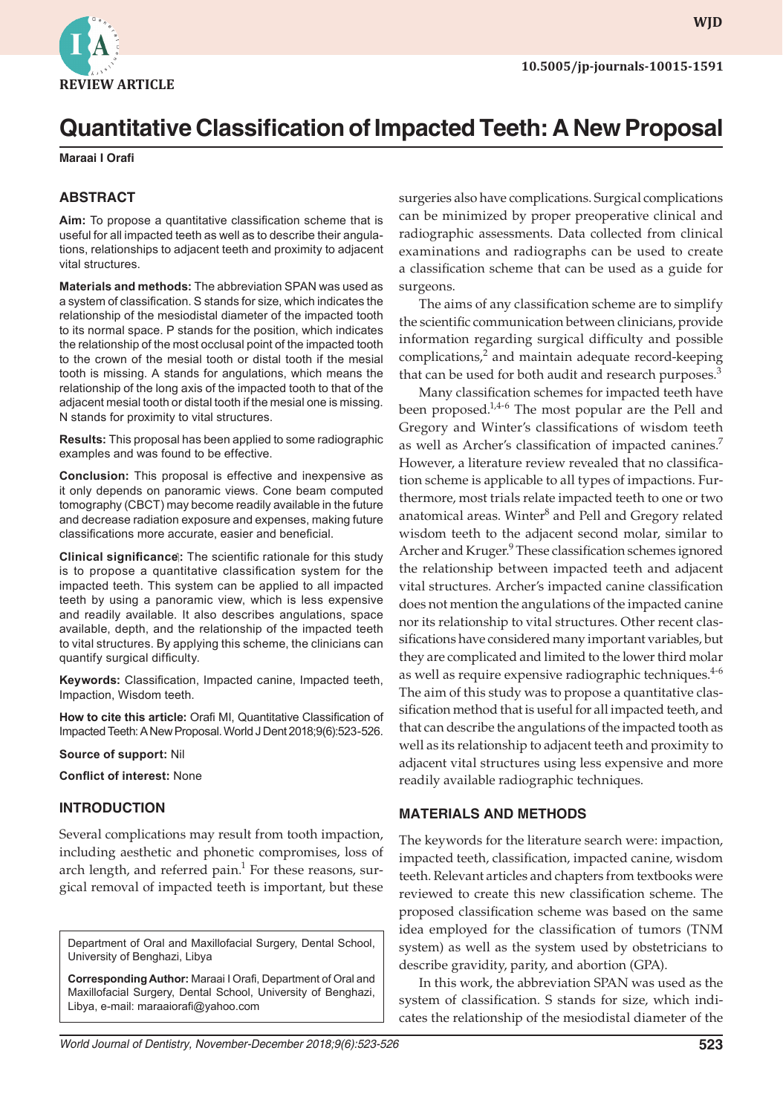

**WJD WJD**

# **Quantitative Classification of Impacted Teeth: A New Proposal**

**Maraai I Orafi**

# **ABSTRACT**

**Aim:** To propose a quantitative classification scheme that is useful for all impacted teeth as well as to describe their angulations, relationships to adjacent teeth and proximity to adjacent vital structures.

**Materials and methods:** The abbreviation SPAN was used as a system of classification. S stands for size, which indicates the relationship of the mesiodistal diameter of the impacted tooth to its normal space. P stands for the position, which indicates the relationship of the most occlusal point of the impacted tooth to the crown of the mesial tooth or distal tooth if the mesial tooth is missing. A stands for angulations, which means the relationship of the long axis of the impacted tooth to that of the adjacent mesial tooth or distal tooth if the mesial one is missing. N stands for proximity to vital structures.

**Results:** This proposal has been applied to some radiographic examples and was found to be effective.

**Conclusion:** This proposal is effective and inexpensive as it only depends on panoramic views. Cone beam computed tomography (CBCT) may become readily available in the future and decrease radiation exposure and expenses, making future classifications more accurate, easier and beneficial.

**Clinical significance:** The scientific rationale for this study is to propose a quantitative classification system for the impacted teeth. This system can be applied to all impacted teeth by using a panoramic view, which is less expensive and readily available. It also describes angulations, space available, depth, and the relationship of the impacted teeth to vital structures. By applying this scheme, the clinicians can quantify surgical difficulty.

**Keywords:** Classification, Impacted canine, Impacted teeth, Impaction, Wisdom teeth.

**How to cite this article:** Orafi MI, Quantitative Classification of Impacted Teeth: A New Proposal. World J Dent 2018;9(6):523-526.

#### **Source of support:** Nil

**Conflict of interest:** None

## **INTRODUCTION**

Several complications may result from tooth impaction, including aesthetic and phonetic compromises, loss of arch length, and referred pain.<sup>1</sup> For these reasons, surgical removal of impacted teeth is important, but these

Department of Oral and Maxillofacial Surgery, Dental School, University of Benghazi, Libya

**Corresponding Author:** Maraai I Orafi, Department of Oral and Maxillofacial Surgery, Dental School, University of Benghazi, Libya, e-mail: maraaiorafi@yahoo.com

surgeries also have complications. Surgical complications can be minimized by proper preoperative clinical and radiographic assessments. Data collected from clinical examinations and radiographs can be used to create a classification scheme that can be used as a guide for surgeons.

The aims of any classification scheme are to simplify the scientific communication between clinicians, provide information regarding surgical difficulty and possible complications, $2$  and maintain adequate record-keeping that can be used for both audit and research purposes.<sup>3</sup>

Many classification schemes for impacted teeth have been proposed.<sup>1,4-6</sup> The most popular are the Pell and Gregory and Winter's classifications of wisdom teeth as well as Archer's classification of impacted canines.<sup>7</sup> However, a literature review revealed that no classification scheme is applicable to all types of impactions. Furthermore, most trials relate impacted teeth to one or two anatomical areas. Winter<sup>8</sup> and Pell and Gregory related wisdom teeth to the adjacent second molar, similar to Archer and Kruger.<sup>9</sup> These classification schemes ignored the relationship between impacted teeth and adjacent vital structures. Archer's impacted canine classification does not mention the angulations of the impacted canine nor its relationship to vital structures. Other recent classifications have considered many important variables, but they are complicated and limited to the lower third molar as well as require expensive radiographic techniques.<sup>4-6</sup> The aim of this study was to propose a quantitative classification method that is useful for all impacted teeth, and that can describe the angulations of the impacted tooth as well as its relationship to adjacent teeth and proximity to adjacent vital structures using less expensive and more readily available radiographic techniques.

## **MATERIALS AND METHODS**

The keywords for the literature search were: impaction, impacted teeth, classification, impacted canine, wisdom teeth. Relevant articles and chapters from textbooks were reviewed to create this new classification scheme. The proposed classification scheme was based on the same idea employed for the classification of tumors (TNM system) as well as the system used by obstetricians to describe gravidity, parity, and abortion (GPA).

In this work, the abbreviation SPAN was used as the system of classification. S stands for size, which indicates the relationship of the mesiodistal diameter of the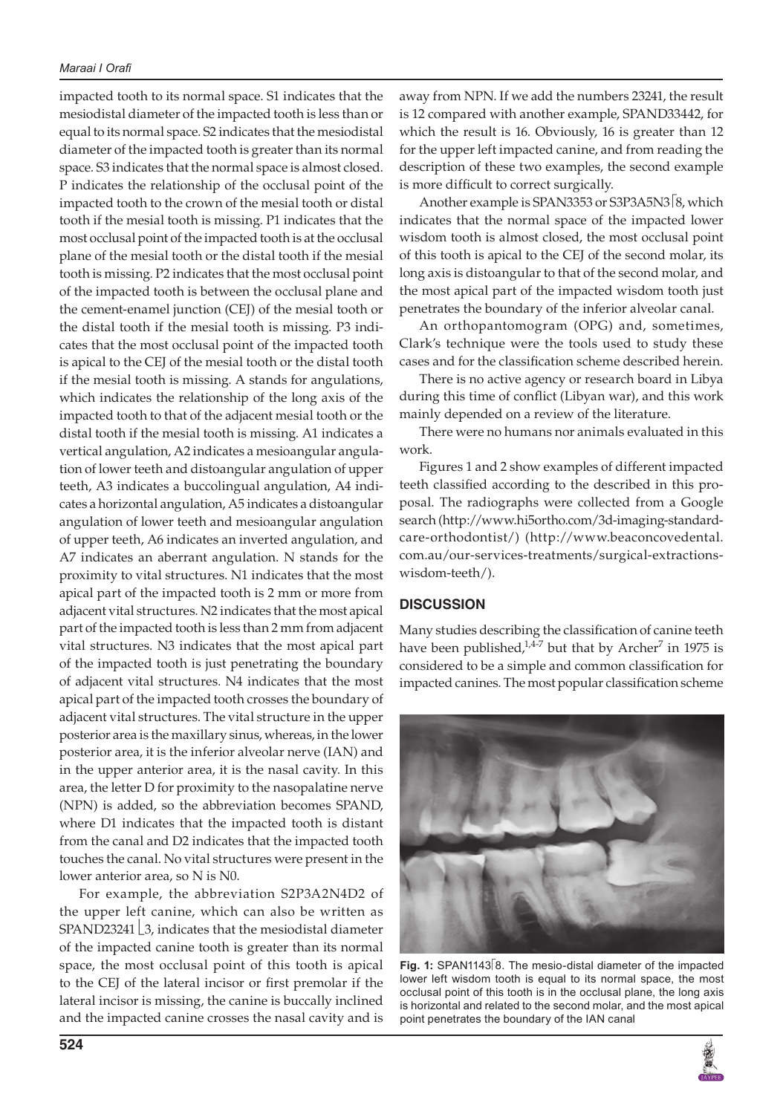#### *Maraai I Orafi*

impacted tooth to its normal space. S1 indicates that the mesiodistal diameter of the impacted tooth is less than or equal to its normal space. S2 indicates that the mesiodistal diameter of the impacted tooth is greater than its normal space. S3 indicates that the normal space is almost closed. P indicates the relationship of the occlusal point of the impacted tooth to the crown of the mesial tooth or distal tooth if the mesial tooth is missing. P1 indicates that the most occlusal point of the impacted tooth is at the occlusal plane of the mesial tooth or the distal tooth if the mesial tooth is missing. P2 indicates that the most occlusal point of the impacted tooth is between the occlusal plane and the cement-enamel junction (CEJ) of the mesial tooth or the distal tooth if the mesial tooth is missing. P3 indicates that the most occlusal point of the impacted tooth is apical to the CEJ of the mesial tooth or the distal tooth if the mesial tooth is missing. A stands for angulations, which indicates the relationship of the long axis of the impacted tooth to that of the adjacent mesial tooth or the distal tooth if the mesial tooth is missing. A1 indicates a vertical angulation, A2 indicates a mesioangular angulation of lower teeth and distoangular angulation of upper teeth, A3 indicates a buccolingual angulation, A4 indicates a horizontal angulation, A5 indicates a distoangular angulation of lower teeth and mesioangular angulation of upper teeth, A6 indicates an inverted angulation, and A7 indicates an aberrant angulation. N stands for the proximity to vital structures. N1 indicates that the most apical part of the impacted tooth is 2 mm or more from adjacent vital structures. N2 indicates that the most apical part of the impacted tooth is less than 2 mm from adjacent vital structures. N3 indicates that the most apical part of the impacted tooth is just penetrating the boundary of adjacent vital structures. N4 indicates that the most apical part of the impacted tooth crosses the boundary of adjacent vital structures. The vital structure in the upper posterior area is the maxillary sinus, whereas, in the lower posterior area, it is the inferior alveolar nerve (IAN) and in the upper anterior area, it is the nasal cavity. In this area, the letter D for proximity to the nasopalatine nerve (NPN) is added, so the abbreviation becomes SPAND, where D1 indicates that the impacted tooth is distant from the canal and D2 indicates that the impacted tooth touches the canal. No vital structures were present in the lower anterior area, so N is N0.

For example, the abbreviation S2P3A2N4D2 of the upper left canine, which can also be written as SPAND23241  $\lfloor 3$ , indicates that the mesiodistal diameter of the impacted canine tooth is greater than its normal space, the most occlusal point of this tooth is apical to the CEJ of the lateral incisor or first premolar if the lateral incisor is missing, the canine is buccally inclined and the impacted canine crosses the nasal cavity and is away from NPN. If we add the numbers 23241, the result is 12 compared with another example, SPAND33442, for which the result is 16. Obviously, 16 is greater than 12 for the upper left impacted canine, and from reading the description of these two examples, the second example is more difficult to correct surgically.

Another example is SPAN3353 or S3P3A5N3<sup>[8</sup>, which indicates that the normal space of the impacted lower wisdom tooth is almost closed, the most occlusal point of this tooth is apical to the CEJ of the second molar, its long axis is distoangular to that of the second molar, and the most apical part of the impacted wisdom tooth just penetrates the boundary of the inferior alveolar canal.

An orthopantomogram (OPG) and, sometimes, Clark's technique were the tools used to study these cases and for the classification scheme described herein.

There is no active agency or research board in Libya during this time of conflict (Libyan war), and this work mainly depended on a review of the literature.

There were no humans nor animals evaluated in this work.

Figures 1 and 2 show examples of different impacted teeth classified according to the described in this proposal. The radiographs were collected from a Google search (http://www.hi5ortho.com/3d-imaging-standardcare-orthodontist/) (http://www.beaconcovedental. com.au/our-services-treatments/surgical-extractionswisdom-teeth/).

# **DISCUSSION**

Many studies describing the classification of canine teeth have been published, $1.4-7$  but that by Archer<sup>7</sup> in 1975 is considered to be a simple and common classification for impacted canines. The most popular classification scheme



Fig. 1: SPAN1143<sup>[8]</sup>. The mesio-distal diameter of the impacted lower left wisdom tooth is equal to its normal space, the most occlusal point of this tooth is in the occlusal plane, the long axis is horizontal and related to the second molar, and the most apical point penetrates the boundary of the IAN canal

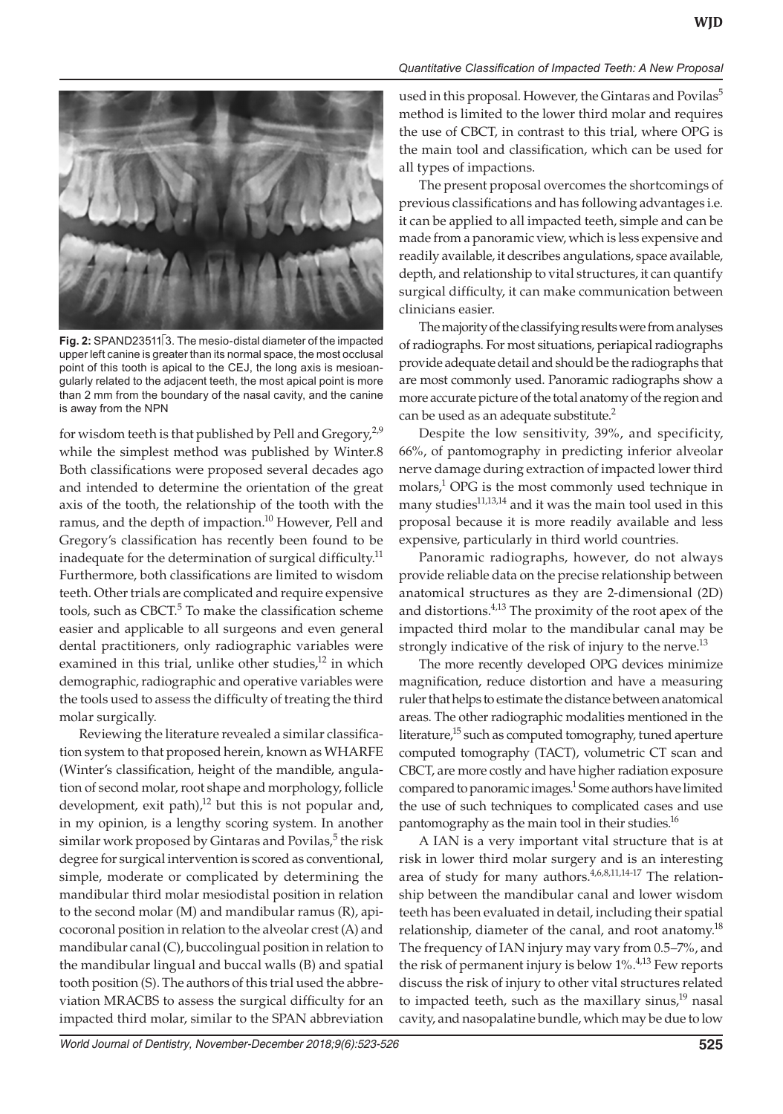

**Fig. 2:** SPAND23511<sup>[3]</sup>. The mesio-distal diameter of the impacted upper left canine is greater than its normal space, the most occlusal point of this tooth is apical to the CEJ, the long axis is mesioangularly related to the adjacent teeth, the most apical point is more than 2 mm from the boundary of the nasal cavity, and the canine is away from the NPN

for wisdom teeth is that published by Pell and Gregory,<sup>2,9</sup> while the simplest method was published by Winter.8 Both classifications were proposed several decades ago and intended to determine the orientation of the great axis of the tooth, the relationship of the tooth with the ramus, and the depth of impaction.<sup>10</sup> However, Pell and Gregory's classification has recently been found to be inadequate for the determination of surgical difficulty.<sup>11</sup> Furthermore, both classifications are limited to wisdom teeth. Other trials are complicated and require expensive tools, such as CBCT.<sup>5</sup> To make the classification scheme easier and applicable to all surgeons and even general dental practitioners, only radiographic variables were examined in this trial, unlike other studies, $12$  in which demographic, radiographic and operative variables were the tools used to assess the difficulty of treating the third molar surgically.

Reviewing the literature revealed a similar classification system to that proposed herein, known as WHARFE (Winter's classification, height of the mandible, angulation of second molar, root shape and morphology, follicle development, exit path), $^{12}$  but this is not popular and, in my opinion, is a lengthy scoring system. In another similar work proposed by Gintaras and Povilas, $^5$  the risk degree for surgical intervention is scored as conventional, simple, moderate or complicated by determining the mandibular third molar mesiodistal position in relation to the second molar (M) and mandibular ramus (R), apicocoronal position in relation to the alveolar crest (A) and mandibular canal (C), buccolingual position in relation to the mandibular lingual and buccal walls (B) and spatial tooth position (S). The authors of this trial used the abbreviation MRACBS to assess the surgical difficulty for an impacted third molar, similar to the SPAN abbreviation

*Quantitative Classification of Impacted Teeth: A New Proposal*

used in this proposal. However, the Gintaras and Povilas<sup>5</sup> method is limited to the lower third molar and requires the use of CBCT, in contrast to this trial, where OPG is the main tool and classification, which can be used for all types of impactions.

The present proposal overcomes the shortcomings of previous classifications and has following advantages i.e. it can be applied to all impacted teeth, simple and can be made from a panoramic view, which is less expensive and readily available, it describes angulations, space available, depth, and relationship to vital structures, it can quantify surgical difficulty, it can make communication between clinicians easier.

The majority of the classifying results were from analyses of radiographs. For most situations, periapical radiographs provide adequate detail and should be the radiographs that are most commonly used. Panoramic radiographs show a more accurate picture of the total anatomy of the region and can be used as an adequate substitute.<sup>2</sup>

Despite the low sensitivity, 39%, and specificity, 66%, of pantomography in predicting inferior alveolar nerve damage during extraction of impacted lower third molars,<sup>1</sup> OPG is the most commonly used technique in many studies $11,13,14$  and it was the main tool used in this proposal because it is more readily available and less expensive, particularly in third world countries.

Panoramic radiographs, however, do not always provide reliable data on the precise relationship between anatomical structures as they are 2-dimensional (2D) and distortions.<sup>4,13</sup> The proximity of the root apex of the impacted third molar to the mandibular canal may be strongly indicative of the risk of injury to the nerve. $^{13}$ 

The more recently developed OPG devices minimize magnification, reduce distortion and have a measuring ruler that helps to estimate the distance between anatomical areas. The other radiographic modalities mentioned in the literature,<sup>15</sup> such as computed tomography, tuned aperture computed tomography (TACT), volumetric CT scan and CBCT, are more costly and have higher radiation exposure compared to panoramic images.<sup>1</sup> Some authors have limited the use of such techniques to complicated cases and use pantomography as the main tool in their studies.<sup>16</sup>

A IAN is a very important vital structure that is at risk in lower third molar surgery and is an interesting area of study for many authors.<sup>4,6,8,11,14-17</sup> The relationship between the mandibular canal and lower wisdom teeth has been evaluated in detail, including their spatial relationship, diameter of the canal, and root anatomy.<sup>18</sup> The frequency of IAN injury may vary from 0.5–7%, and the risk of permanent injury is below  $1\%$ .<sup>4,13</sup> Few reports discuss the risk of injury to other vital structures related to impacted teeth, such as the maxillary sinus, $19$  nasal cavity, and nasopalatine bundle, which may be due to low